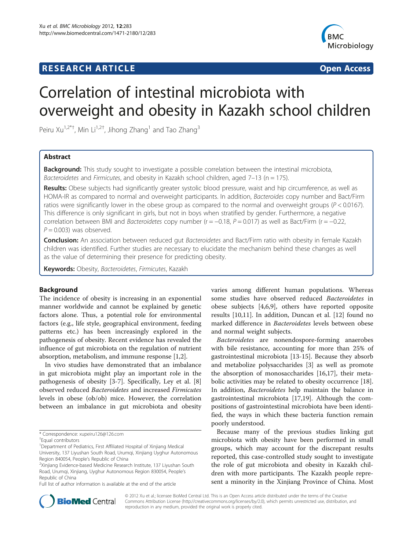## **RESEARCH ARTICLE Example 2014 CONSIDERING A RESEARCH ARTICLE**



# Correlation of intestinal microbiota with overweight and obesity in Kazakh school children

Peiru Xu<sup>1,2\*†</sup>, Min Li<sup>1,2†</sup>, Jihong Zhang<sup>1</sup> and Tao Zhang<sup>3</sup>

## Abstract

**Background:** This study sought to investigate a possible correlation between the intestinal microbiota, Bacteroidetes and Firmicutes, and obesity in Kazakh school children, aged  $7-13$  (n = 175).

Results: Obese subjects had significantly greater systolic blood pressure, waist and hip circumference, as well as HOMA-IR as compared to normal and overweight participants. In addition, Bacteroides copy number and Bact/Firm ratios were significantly lower in the obese group as compared to the normal and overweight groups ( $P < 0.0167$ ). This difference is only significant in girls, but not in boys when stratified by gender. Furthermore, a negative correlation between BMI and Bacteroidetes copy number ( $r = -0.18$ ,  $P = 0.017$ ) as well as Bact/Firm ( $r = -0.22$ ,  $P = 0.003$ ) was observed.

Conclusion: An association between reduced qut Bacteroidetes and Bact/Firm ratio with obesity in female Kazakh children was identified. Further studies are necessary to elucidate the mechanism behind these changes as well as the value of determining their presence for predicting obesity.

Keywords: Obesity, Bacteroidetes, Firmicutes, Kazakh

#### Background

The incidence of obesity is increasing in an exponential manner worldwide and cannot be explained by genetic factors alone. Thus, a potential role for environmental factors (e.g., life style, geographical environment, feeding patterns etc.) has been increasingly explored in the pathogenesis of obesity. Recent evidence has revealed the influence of gut microbiota on the regulation of nutrient absorption, metabolism, and immune response [\[1,2](#page-4-0)].

In vivo studies have demonstrated that an imbalance in gut microbiota might play an important role in the pathogenesis of obesity [\[3](#page-4-0)-[7\]](#page-4-0). Specifically, Ley et al. [\[8](#page-4-0)] observed reduced Bacteroidetes and increased Firmicutes levels in obese (ob/ob) mice. However, the correlation between an imbalance in gut microbiota and obesity varies among different human populations. Whereas some studies have observed reduced Bacteroidetes in obese subjects [[4,6,9\]](#page-4-0), others have reported opposite results [\[10,11](#page-4-0)]. In addition, Duncan et al. [[12\]](#page-4-0) found no marked difference in Bacteroidetes levels between obese and normal weight subjects.

Bacteroidetes are nonendospore-forming anaerobes with bile resistance, accounting for more than 25% of gastrointestinal microbiota [[13-](#page-4-0)[15](#page-5-0)]. Because they absorb and metabolize polysaccharides [\[3](#page-4-0)] as well as promote the absorption of monosaccharides [[16,17\]](#page-5-0), their metabolic activities may be related to obesity occurrence [\[18](#page-5-0)]. In addition, Bacteroidetes help maintain the balance in gastrointestinal microbiota [\[17,19\]](#page-5-0). Although the compositions of gastrointestinal microbiota have been identified, the ways in which these bacteria function remain poorly understood.

Because many of the previous studies linking gut microbiota with obesity have been performed in small groups, which may account for the discrepant results reported, this case-controlled study sought to investigate the role of gut microbiota and obesity in Kazakh children with more participants. The Kazakh people represent a minority in the Xinjiang Province of China. Most



© 2012 Xu et al.; licensee BioMed Central Ltd. This is an Open Access article distributed under the terms of the Creative Commons Attribution License [\(http://creativecommons.org/licenses/by/2.0\)](http://creativecommons.org/licenses/by/2.0), which permits unrestricted use, distribution, and reproduction in any medium, provided the original work is properly cited.

<sup>\*</sup> Correspondence: [xupeiru126@126.com](mailto:xupeiru126@126.com) †

Equal contributors

<sup>&</sup>lt;sup>1</sup>Department of Pediatrics, First Affiliated Hospital of Xinjiang Medical University, 137 Liyushan South Road, Urumqi, Xinjiang Uyghur Autonomous Region 840054, People's Republic of China <sup>2</sup>

<sup>&</sup>lt;sup>2</sup>Xinjiang Evidence-based Medicine Research Institute, 137 Liyushan South Road, Urumqi, Xinjiang, Uyghur Autonomous Region 830054, People's Republic of China

Full list of author information is available at the end of the article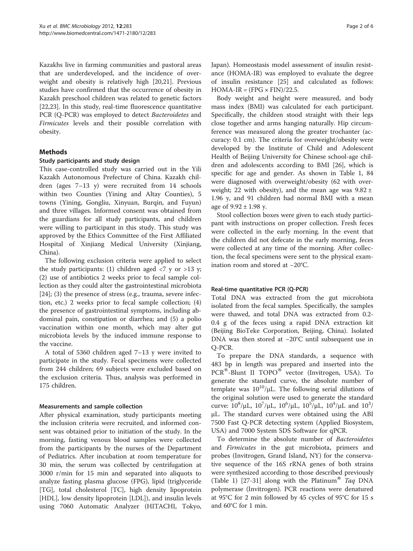Kazakhs live in farming communities and pastoral areas that are underdeveloped, and the incidence of overweight and obesity is relatively high [\[20,21\]](#page-5-0). Previous studies have confirmed that the occurrence of obesity in Kazakh preschool children was related to genetic factors [[22,23\]](#page-5-0). In this study, real-time fluorescence quantitative PCR (Q-PCR) was employed to detect Bacteroidetes and Firmicutes levels and their possible correlation with obesity.

## Methods

## Study participants and study design

This case-controlled study was carried out in the Yili Kazakh Autonomous Prefecture of China. Kazakh children (ages 7–13 y) were recruited from 14 schools within two Counties (Yining and Altay Counties), 5 towns (Yining, Gongliu, Xinyuan, Burqin, and Fuyun) and three villages. Informed consent was obtained from the guardians for all study participants, and children were willing to participant in this study. This study was approved by the Ethics Committee of the First Affiliated Hospital of Xinjiang Medical University (Xinjiang, China).

The following exclusion criteria were applied to select the study participants: (1) children aged  $\langle 7 \rangle$  y or  $>13 \rangle$ y; (2) use of antibiotics 2 weeks prior to fecal sample collection as they could alter the gastrointestinal microbiota  $[24]$  $[24]$ ; (3) the presence of stress (e.g., trauma, severe infection, etc.) 2 weeks prior to fecal sample collection; (4) the presence of gastrointestinal symptoms, including abdominal pain, constipation or diarrhea; and (5) a polio vaccination within one month, which may alter gut microbiota levels by the induced immune response to the vaccine.

A total of 5360 children aged 7–13 y were invited to participate in the study. Fecal specimens were collected from 244 children; 69 subjects were excluded based on the exclusion criteria. Thus, analysis was performed in 175 children.

## Measurements and sample collection

After physical examination, study participants meeting the inclusion criteria were recruited, and informed consent was obtained prior to initiation of the study. In the morning, fasting venous blood samples were collected from the participants by the nurses of the Department of Pediatrics. After incubation at room temperature for 30 min, the serum was collected by centrifugation at 3000 r/min for 15 min and separated into aliquots to analyze fasting plasma glucose (FPG), lipid (triglyceride [TG], total cholesterol [TC], high density lipoprotein [HDL], low density lipoprotein [LDL]), and insulin levels using 7060 Automatic Analyzer (HITACHI, Tokyo,

Japan). Homeostasis model assessment of insulin resistance (HOMA-IR) was employed to evaluate the degree of insulin resistance [[25](#page-5-0)] and calculated as follows:  $HOMA-IR = (FPG \times FIN)/22.5$ .

Body weight and height were measured, and body mass index (BMI) was calculated for each participant. Specifically, the children stood straight with their legs close together and arms hanging naturally. Hip circumference was measured along the greater trochanter (accuracy: 0.1 cm). The criteria for overweight/obesity were developed by the Institute of Child and Adolescent Health of Beijing University for Chinese school-age children and adolescents according to BMI [\[26](#page-5-0)], which is specific for age and gender. As shown in Table [1,](#page-2-0) 84 were diagnosed with overweight/obesity (62 with overweight; 22 with obesity), and the mean age was  $9.82 \pm$ 1.96 y, and 91 children had normal BMI with a mean age of  $9.92 \pm 1.98$  y.

Stool collection boxes were given to each study participant with instructions on proper collection. Fresh feces were collected in the early morning. In the event that the children did not defecate in the early morning, feces were collected at any time of the morning. After collection, the fecal specimens were sent to the physical examination room and stored at −20°C.

## Real-time quantitative PCR (Q-PCR)

Total DNA was extracted from the gut microbiota isolated from the fecal samples. Specifically, the samples were thawed, and total DNA was extracted from 0.2- 0.4 g of the feces using a rapid DNA extraction kit (Beijing BioTeke Corporation, Beijing, China). Isolated DNA was then stored at −20°C until subsequent use in Q-PCR.

To prepare the DNA standards, a sequence with 483 bp in length was prepared and inserted into the  $PCR^{\circledR}$ -Blunt II  $TOPO^{\circledR}$  vector (Invitrogen, USA). To generate the standard curve, the absolute number of template was  $10^{10}/\mu$ L. The following serial dilutions of the original solution were used to generate the standard curve:  $10^8/\mu L$ ,  $10^7/\mu L$ ,  $10^6/\mu L$ ,  $10^5/\mu L$ ,  $10^4/\mu L$  and  $10^3/\mu L$ μL. The standard curves were obtained using the ABI 7500 Fast Q-PCR detecting system (Applied Biosystem, USA) and 7000 System SDS Software for qPCR.

To determine the absolute number of Bacteroidetes and Firmicutes in the gut microbiota, primers and probes (Invitrogen, Grand Island, NY) for the conservative sequence of the 16S rRNA genes of both strains were synthesized according to those described previously (Table [1\)](#page-2-0) [[27-31\]](#page-5-0) along with the Platinum<sup>®</sup> Taq DNA polymerase (Invitrogen). PCR reactions were denatured at 95°C for 2 min followed by 45 cycles of 95°C for 15 s and 60°C for 1 min.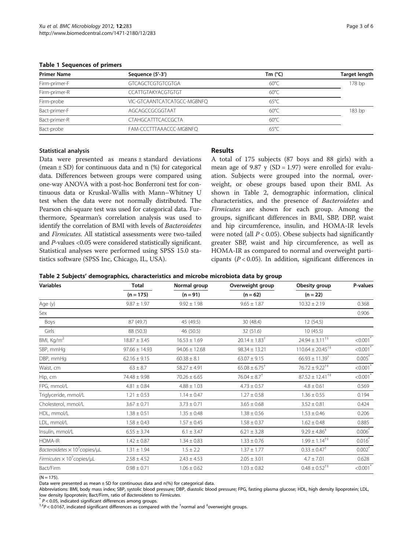<span id="page-2-0"></span>Table 1 Sequences of primers

| <b>Primer Name</b> | Sequence (5'-3')            | Tm $(^{\circ}C)$ | <b>Target length</b> |  |
|--------------------|-----------------------------|------------------|----------------------|--|
| Firm-primer-F      | <b>GTCAGCTCGTGTCGTGA</b>    | $60^{\circ}$ C   | 178 bp               |  |
| Firm-primer-R      | <b>CCATTGTAKYACGTGTGT</b>   | $60^{\circ}$ C   |                      |  |
| Firm-probe         | VIC-GTCAANTCATCATGCC-MGBNFQ | $65^{\circ}$ C   |                      |  |
| Bact-primer-F      | AGCAGCCGCGGTAAT             | $60^{\circ}$ C   | 183 bp               |  |
| Bact-primer-R      | <b>CTAHGCATTTCACCGCTA</b>   | $60^{\circ}$ C   |                      |  |
| Bact-probe         | FAM-CCCTTTAAACCC-MGBNFO     | $65^{\circ}$ C   |                      |  |

#### Statistical analysis

Data were presented as means ± standard deviations (mean  $\pm$  SD) for continuous data and n (%) for categorical data. Differences between groups were compared using one-way ANOVA with a post-hoc Bonferroni test for continuous data or Kruskal-Wallis with Mann–Whitney U test when the data were not normally distributed. The Pearson chi-square test was used for categorical data. Furthermore, Spearman's correlation analysis was used to identify the correlation of BMI with levels of Bacteroidetes and Firmicutes. All statistical assessments were two-tailed and P-values <0.05 were considered statistically significant. Statistical analyses were performed using SPSS 15.0 statistics software (SPSS Inc, Chicago, IL, USA).

## Results

A total of 175 subjects (87 boys and 88 girls) with a mean age of 9.87 y (SD = 1.97) were enrolled for evaluation. Subjects were grouped into the normal, overweight, or obese groups based upon their BMI. As shown in Table 2, demographic information, clinical characteristics, and the presence of Bacteroidetes and Firmicutes are shown for each group. Among the groups, significant differences in BMI, SBP, DBP, waist and hip circumference, insulin, and HOMA-IR levels were noted (all  $P < 0.05$ ). Obese subjects had significantly greater SBP, waist and hip circumference, as well as HOMA-IR as compared to normal and overweight participants ( $P < 0.05$ ). In addition, significant differences in

|  |  |  |  | Table 2 Subjects' demographics, characteristics and microbe microbiota data by group |
|--|--|--|--|--------------------------------------------------------------------------------------|
|--|--|--|--|--------------------------------------------------------------------------------------|

| <b>Variables</b>                                    | <b>Total</b><br>$(n = 175)$ | Normal group<br>$(n = 91)$ | Overweight group<br>$(n = 62)$ | Obesity group<br>$(n = 22)$          | P-values               |
|-----------------------------------------------------|-----------------------------|----------------------------|--------------------------------|--------------------------------------|------------------------|
|                                                     |                             |                            |                                |                                      |                        |
| Age (y)                                             | $9.87 \pm 1.97$             | $9.92 \pm 1.98$            | $9.65 \pm 1.87$                | $10.32 \pm 2.19$                     | 0.368                  |
| Sex                                                 |                             |                            |                                |                                      | 0.906                  |
| Boys                                                | 87 (49.7)                   | 45 (49.5)                  | 30 (48.4)                      | 12 (54.5)                            |                        |
| Girls                                               | 88 (50.3)                   | 46 (50.5)                  | 32 (51.6)                      | 10(45.5)                             |                        |
| BMI, Kg/m <sup>2</sup>                              | $18.87 \pm 3.45$            | $16.53 \pm 1.69$           | $20.14 \pm 1.83$ <sup>†</sup>  | $24.94 \pm 3.11^{++}$                | $< 0.001$ <sup>*</sup> |
| SBP, mmHg                                           | $97.66 \pm 14.93$           | $94.06 \pm 12.68$          | $98.34 \pm 13.21$              | $110.64 \pm 20.45^{\dagger\ddagger}$ | $< 0.001$ *            |
| DBP, mmHg                                           | $62.16 \pm 9.15$            | $60.38 \pm 8.1$            | $63.07 \pm 9.15$               | $66.93 \pm 11.39$ <sup>†</sup>       | $0.005^*$              |
| Waist, cm                                           | $63 \pm 8.7$                | $58.27 \pm 4.91$           | $65.08 \pm 6.75$ <sup>†</sup>  | $76.72 \pm 9.22^{+4}$                | $< 0.001$ <sup>*</sup> |
| Hip, cm                                             | 74.48 ± 9.98                | $70.26 \pm 6.65$           | $76.04 \pm 8.7$ <sup>†</sup>   | $87.52 \pm 12.41^{\dagger\ddagger}$  | $< 0.001$ <sup>*</sup> |
| FPG, mmol/L                                         | $4.81 \pm 0.84$             | $4.88 \pm 1.03$            | $4.73 \pm 0.57$                | $4.8 \pm 0.61$                       | 0.569                  |
| Triglyceride, mmol/L                                | $1.21 \pm 0.53$             | $1.14 \pm 0.47$            | $1.27 \pm 0.58$                | $1.36 \pm 0.55$                      | 0.194                  |
| Cholesterol, mmol/L                                 | $3.67 \pm 0.71$             | $3.73 \pm 0.71$            | $3.65 \pm 0.68$                | $3.52 \pm 0.81$                      | 0.424                  |
| HDL, mmol/L                                         | $1.38 \pm 0.51$             | $1.35 \pm 0.48$            | $1.38 \pm 0.56$                | $1.53 \pm 0.46$                      | 0.206                  |
| LDL, mmol/L                                         | $1.58 \pm 0.43$             | $1.57 \pm 0.45$            | $1.58 \pm 0.37$                | $1.62 \pm 0.48$                      | 0.885                  |
| Insulin, mmol/L                                     | $6.55 \pm 3.74$             | $6.1 \pm 3.47$             | $6.21 \pm 3.28$                | $9.29 \pm 4.86^{\ddagger}$           | $0.006^*$              |
| HOMA-IR                                             | $1.42 \pm 0.87$             | $1.34 \pm 0.83$            | $1.33 \pm 0.76$                | $1.99 \pm 1.14^{+4}$                 | $0.016*$               |
| Bacteroidetes $\times 10^7$ copies/ $\mu$ L         | $1.31 \pm 1.94$             | $1.5 \pm 2.2$              | $1.37 \pm 1.77$                | $0.33 \pm 0.47$ <sup>†</sup>         | $0.002$ <sup>*</sup>   |
| Firmicutes $\times$ 10 <sup>7</sup> copies/ $\mu$ L | $2.58 \pm 4.52$             | $2.43 \pm 4.53$            | $2.05 \pm 3.01$                | $4.7 \pm 7.01$                       | 0.628                  |
| Bact/Firm                                           | $0.98 \pm 0.71$             | $1.06 \pm 0.62$            | $1.03 \pm 0.82$                | $0.48 \pm 0.52^{+4}$                 | $< 0.001$ <sup>*</sup> |
|                                                     |                             |                            |                                |                                      |                        |

 $(N = 175)$ .

Data were presented as mean  $\pm$  SD for continuous data and n(%) for categorical data.

Abbreviations: BMI, body mass index; SBP, systolic blood pressure; DBP, diastolic blood pressure; FPG, fasting plasma glucose; HDL, high density lipoprotein; LDL, low density lipoprotein; Bact/Firm, ratio of Bacteroidetes to Firmicutes.<br><sup>\*</sup> P < 0.05, indicated significant differences among groups.

 $P < 0.0167$ , indicated significant differences as compared with the <sup>†</sup>normal and <sup>‡</sup>overweight groups.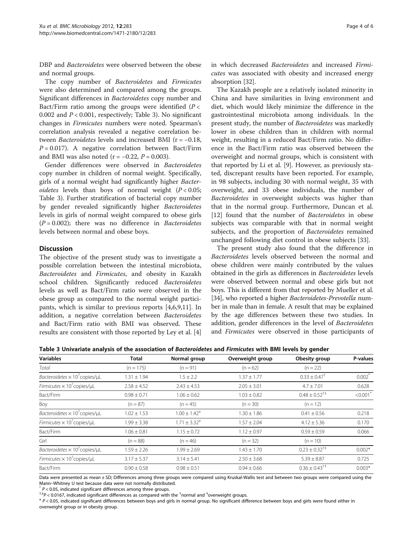DBP and Bacteroidetes were observed between the obese and normal groups.

The copy number of Bacteroidetes and Firmicutes were also determined and compared among the groups. Significant differences in Bacteroidetes copy number and Bact/Firm ratio among the groups were identified  $(P <$ 0.002 and  $P < 0.001$ , respectively; Table 3). No significant changes in Firmicutes numbers were noted. Spearman's correlation analysis revealed a negative correlation between Bacteroidetes levels and increased BMI (r = −0.18,  $P = 0.017$ ). A negative correlation between Bact/Firm and BMI was also noted ( $r = -0.22$ ,  $P = 0.003$ ).

Gender differences were observed in Bacteroidetes copy number in children of normal weight. Specifically, girls of a normal weight had significantly higher Bacter*oidetes* levels than boys of normal weight  $(P < 0.05$ ; Table 3). Further stratification of bacterial copy number by gender revealed significantly higher Bacteroidetes levels in girls of normal weight compared to obese girls  $(P = 0.002)$ ; there was no difference in *Bacteroidetes* levels between normal and obese boys.

## **Discussion**

The objective of the present study was to investigate a possible correlation between the intestinal microbiota, Bacteroidetes and Firmicutes, and obesity in Kazakh school children. Significantly reduced Bacteroidetes levels as well as Bact/Firm ratio were observed in the obese group as compared to the normal weight participants, which is similar to previous reports [[4,6,9,11\]](#page-4-0). In addition, a negative correlation between Bacteroidetes and Bact/Firm ratio with BMI was observed. These results are consistent with those reported by Ley et al. [\[4](#page-4-0)] in which decreased Bacteroidetes and increased Firmicutes was associated with obesity and increased energy absorption [\[32\]](#page-5-0).

The Kazakh people are a relatively isolated minority in China and have similarities in living environment and diet, which would likely minimize the difference in the gastrointestinal microbiota among individuals. In the present study, the number of Bacteroidetes was markedly lower in obese children than in children with normal weight, resulting in a reduced Bact/Firm ratio. No difference in the Bact/Firm ratio was observed between the overweight and normal groups, which is consistent with that reported by Li et al. [\[9](#page-4-0)]. However, as previously stated, discrepant results have been reported. For example, in 98 subjects, including 30 with normal weight, 35 with overweight, and 33 obese individuals, the number of Bacteroidetes in overweight subjects was higher than that in the normal group. Furthermore, Duncan et al. [[12\]](#page-4-0) found that the number of Bacteroidetes in obese subjects was comparable with that in normal weight subjects, and the proportion of *Bacteroidetes* remained unchanged following diet control in obese subjects [[33\]](#page-5-0).

The present study also found that the difference in Bacteroidetes levels observed between the normal and obese children were mainly contributed by the values obtained in the girls as differences in Bacteroidetes levels were observed between normal and obese girls but not boys. This is different from that reported by Mueller et al. [[34](#page-5-0)], who reported a higher Bacteroidetes-Prevotella number in male than in female. A result that may be explained by the age differences between these two studies. In addition, gender differences in the level of Bacteroidetes and Firmicutes were observed in those participants of

Table 3 Univariate analysis of the association of Bacteroidetes and Firmicutes with BMI levels by gender

| <b>Variables</b>                                       | <b>Total</b>    | Normal group            | Overweight group | Obesity group                | P-values               |
|--------------------------------------------------------|-----------------|-------------------------|------------------|------------------------------|------------------------|
| Total                                                  | $(n = 175)$     | $(n = 91)$              | $(n = 62)$       | $(n = 22)$                   |                        |
| Bacteroidetes $\times$ 10 <sup>7</sup> copies/ $\mu$ L | $1.31 \pm 1.94$ | $1.5 \pm 2.2$           | $1.37 \pm 1.77$  | $0.33 \pm 0.47$ <sup>†</sup> | $0.002$ <sup>*</sup>   |
| Firmicutes $\times$ 10 <sup>7</sup> copies/ $\mu$ L    | $2.58 \pm 4.52$ | $2.43 \pm 4.53$         | $2.05 \pm 3.01$  | $4.7 \pm 7.01$               | 0.628                  |
| Bact/Firm                                              | $0.98 \pm 0.71$ | $1.06 \pm 0.62$         | $1.03 \pm 0.82$  | $0.48 \pm 0.52^{+4}$         | $< 0.001$ <sup>*</sup> |
| Boy                                                    | $(n = 87)$      | $(n = 45)$              | $(n = 30)$       | $(n = 12)$                   |                        |
| Bacteroidetes $\times$ 10 <sup>7</sup> copies/ $\mu$ L | $1.02 \pm 1.53$ | $1.00 \pm 1.42^{\circ}$ | $1.30 \pm 1.86$  | $0.41 \pm 0.56$              | 0.218                  |
| Firmicutes $\times$ 10 <sup>7</sup> copies/ $\mu$ L    | $.99 \pm 3.38$  | $1.71 \pm 3.32^{\circ}$ | $1.57 \pm 2.04$  | $4.12 \pm 5.36$              | 0.170                  |
| Bact/Firm                                              | $1.06 \pm 0.81$ | $1.15 \pm 0.72$         | $1.12 \pm 0.97$  | $0.59 \pm 0.59$              | 0.066                  |
| Girl                                                   | $(n = 88)$      | $(n = 46)$              | $(n = 32)$       | $(n = 10)$                   |                        |
| Bacteroidetes $\times$ 10 <sup>7</sup> copies/ $\mu$ L | $1.59 \pm 2.26$ | $1.99 \pm 2.69$         | $1.43 \pm 1.70$  | $0.23 \pm 0.32^{+1}$         | $0.002*$               |
| Firmicutes $\times$ 10 <sup>7</sup> copies/ $\mu$ L    | $3.17 \pm 5.37$ | $3.14 \pm 5.41$         | $2.50 \pm 3.68$  | $5.39 \pm 8.87$              | 0.725                  |
| Bact/Firm                                              | $0.90 \pm 0.58$ | $0.98 \pm 0.51$         | $0.94 \pm 0.66$  | $0.36 \pm 0.43^{+4}$         | $0.003*$               |

Data were presented as mean ± SD; Differences among three groups were compared using Kruskal-Wallis test and between two groups were compared using the Mann–Whitney U test because data were not normally distributed.

 $P < 0.05$ , indicated significant differences among three groups.

 $P < 0.0167$ , indicated significant differences as compared with the <sup>†</sup>normal and <sup>‡</sup>

 $a<sup>a</sup> P < 0.05$ , indicated significant differences between boys and girls in normal group. No significant difference between boys and girls were found either in overweight group or in obesity group.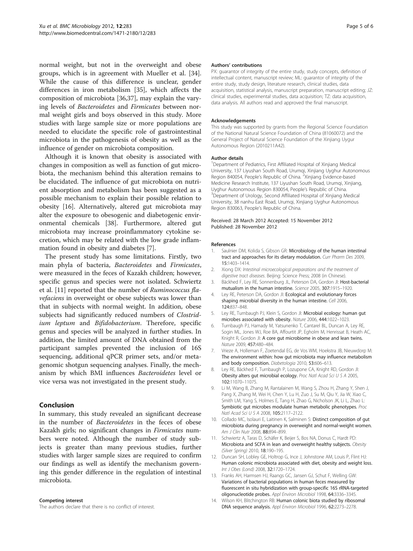<span id="page-4-0"></span>normal weight, but not in the overweight and obese groups, which is in agreement with Mueller et al. [\[34](#page-5-0)]. While the cause of this difference is unclear, gender differences in iron metabolism [[35](#page-5-0)], which affects the composition of microbiota [[36](#page-5-0),[37](#page-5-0)], may explain the varying levels of Bacteroidetes and Firmicutes between normal weight girls and boys observed in this study. More studies with large sample size or more populations are needed to elucidate the specific role of gastrointestinal microbiota in the pathogenesis of obesity as well as the influence of gender on microbiota composition.

Although it is known that obesity is associated with changes in composition as well as function of gut microbiota, the mechanism behind this alteration remains to be elucidated. The influence of gut microbiota on nutrient absorption and metabolism has been suggested as a possible mechanism to explain their possible relation to obesity [\[16](#page-5-0)]. Alternatively, altered gut microbiota may alter the exposure to obesogenic and diabetogenic environmental chemicals [\[38\]](#page-5-0). Furthermore, altered gut microbiota may increase proinflammatory cytokine secretion, which may be related with the low grade inflammation found in obesity and diabetes [7].

The present study has some limitations. Firstly, two main phyla of bacteria, Bacteroidetes and Firmicutes, were measured in the feces of Kazakh children; however, specific genus and species were not isolated. Schwiertz et al. [11] reported that the number of Ruminococcus flavefaciens in overweight or obese subjects was lower than that in subjects with normal weight. In addition, obese subjects had significantly reduced numbers of *Clostrid*ium leptum and Bifidobacterium. Therefore, specific genus and species will be analyzed in further studies. In addition, the limited amount of DNA obtained from the participant samples prevented the inclusion of 16S sequencing, additional qPCR primer sets, and/or metagenomic shotgun sequencing analyses. Finally, the mechanism by which BMI influences Bacteroidetes level or vice versa was not investigated in the present study.

## Conclusion

In summary, this study revealed an significant decrease in the number of Bacteroidetes in the feces of obese Kazakh girls; no significant changes in Firmicutes numbers were noted. Although the number of study subjects is greater than many previous studies, further studies with larger sample sizes are required to confirm our findings as well as identify the mechanism governing this gender difference in the regulation of intestinal microbiota.

#### Competing interest

The authors declare that there is no conflict of interest.

#### Authors' contributions

PX: guarantor of integrity of the entire study, study concepts, definition of intellectual content, manuscript review; ML: guarantor of integrity of the entire study, study design, literature research, clinical studies, data acquisition, statistical analysis, manuscript preparation, manuscript editing; JZ: clinical studies, experimental studies, data acquisition; TZ: data acquisition, data analysis. All authors read and approved the final manuscript.

#### Acknowledgements

This study was supported by grants from the Regional Science Foundation of the National Natural Science Foundation of China (81060072) and the General Project of Natural Science Foundation of the Xinjiang Uygur Autonomous Region (2010211A42).

#### Author details

<sup>1</sup>Department of Pediatrics, First Affiliated Hospital of Xinjiang Medical University, 137 Liyushan South Road, Urumqi, Xinjiang Uyghur Autonomous Region 840054, People's Republic of China. <sup>2</sup>Xinjiang Evidence-based Medicine Research Institute, 137 Liyushan South Road, Urumqi, Xinjiang, Uyghur Autonomous Region 830054, People's Republic of China. <sup>3</sup> <sup>3</sup>Department of Urology, Second Affiliated Hospital of Xinjiang Medical University, 38 nanhu East Road, Urumqi, Xinjiang Uyghur Autonomous Region 830063, People's Republic of China.

#### Received: 28 March 2012 Accepted: 15 November 2012 Published: 28 November 2012

#### References

- 1. Saulnier DM, Kolida S, Gibson GR: Microbiology of the human intestinal tract and approaches for its dietary modulation. Curr Pharm Des 2009, 15:1403–1414.
- 2. Xiong DX: Intestinal microecological preparations and the treatment of digestive tract diseases. Beijing: Science Press; 2008 (in Chinese).
- 3. Bäckhed F, Ley RE, Sonnenburg JL, Peterson DA, Gordon JI: Host-bacterial mutualism in the human intestine. Science 2005, 307:1915–1920.
- 4. Ley RE, Peterson DA, Gordon JI: Ecological and evolutionary forces shaping microbial diversity in the human intestine. Cell 2006, 124:837–848.
- 5. Ley RE, Turnbaugh PJ, Klein S, Gordon JI: Microbial ecology: human gut microbes associated with obesity. Nature 2006, 444:1022–1023.
- 6. Turnbaugh PJ, Hamady M, Yatsunenko T, Cantarel BL, Duncan A, Ley RE, Sogin ML, Jones WJ, Roe BA, Affourtit JP, Egholm M, Henrissat B, Heath AC, Knight R, Gordon JI: A core gut microbiome in obese and lean twins. Nature 2009, 457:480–484.
- 7. Vrieze A, Holleman F, Zoetendal EG, de Vos WM, Hoekstra JB, Nieuwdorp M: The environment within: how gut microbiota may influence metabolism and body composition. Diabetologia 2010, 53:606–613.
- 8. Ley RE, Bäckhed F, Turnbaugh P, Lozupone CA, Knight RD, Gordon JI: Obesity alters gut microbial ecology. Proc Natl Acad Sci U S A 2005, 102:11070–11075.
- 9. Li M, Wang B, Zhang M, Rantalainen M, Wang S, Zhou H, Zhang Y, Shen J, Pang X, Zhang M, Wei H, Chen Y, Lu H, Zuo J, Su M, Qiu Y, Jia W, Xiao C, Smith LM, Yang S, Holmes E, Tang H, Zhao G, Nicholson JK, Li L, Zhao L: Symbiotic gut microbes modulate human metabolic phenotypes. Proc Natl Acad Sci U S A 2008, 105:2117–2122.
- 10. Collado MC, Isolauri E, Laitinen K, Salminen S: Distinct composition of gut microbiota during pregnancy in overweight and normal-weight women. Am J Clin Nutr 2008, 88:894–899.
- 11. Schwiertz A, Taras D, Schäfer K, Beijer S, Bos NA, Donus C, Hardt PD: Microbiota and SCFA in lean and overweight healthy subjects. Obesity (Silver Spring) 2010, 18:190–195.
- 12. Duncan SH, Lobley GE, Holtrop G, Ince J, Johnstone AM, Louis P, Flint HJ: Human colonic microbiota associated with diet, obesity and weight loss. Int J Obes (Lond) 2008, 32:1720-1724.
- 13. Franks AH, Harmsen HJ, Raangs GC, Jansen GJ, Schut F, Welling GW: Variations of bacterial populations in human feces measured by fluorescent in situ hybridization with group-specific 16S rRNA-targeted oligonucleotide probes. Appl Environ Microbiol 1998, 64:3336–3345.
- 14. Wilson KH, Blitchington RB: Human colonic biota studied by ribosomal DNA sequence analysis. Appl Environ Microbiol 1996, 62:2273–2278.